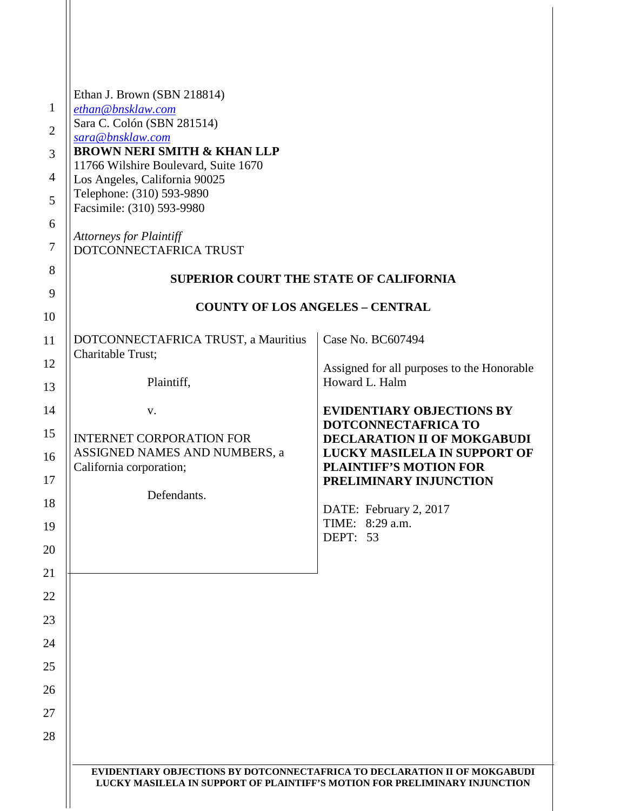| Ethan J. Brown (SBN 218814)                                               |                                                              |
|---------------------------------------------------------------------------|--------------------------------------------------------------|
| ethan@bnsklaw.com                                                         |                                                              |
| Sara C. Colón (SBN 281514)<br>sara@bnsklaw.com                            |                                                              |
| <b>BROWN NERI SMITH &amp; KHAN LLP</b>                                    |                                                              |
| 11766 Wilshire Boulevard, Suite 1670<br>Los Angeles, California 90025     |                                                              |
| Telephone: (310) 593-9890<br>Facsimile: (310) 593-9980                    |                                                              |
| Attorneys for Plaintiff                                                   |                                                              |
| DOTCONNECTAFRICA TRUST                                                    |                                                              |
|                                                                           | <b>SUPERIOR COURT THE STATE OF CALIFORNIA</b>                |
|                                                                           | <b>COUNTY OF LOS ANGELES - CENTRAL</b>                       |
| DOTCONNECTAFRICA TRUST, a Mauritius<br><b>Charitable Trust:</b>           | Case No. BC607494                                            |
| Plaintiff,                                                                | Assigned for all purposes to the Honorable<br>Howard L. Halm |
| V.                                                                        | <b>EVIDENTIARY OBJECTIONS BY</b>                             |
| <b>INTERNET CORPORATION FOR</b>                                           | DOTCONNECTAFRICA TO<br>DECLARATION II OF MOKGABUDI           |
| ASSIGNED NAMES AND NUMBERS, a                                             | <b>LUCKY MASILELA IN SUPPORT OF</b>                          |
| California corporation;                                                   | <b>PLAINTIFF'S MOTION FOR</b><br>PRELIMINARY INJUNCTION      |
| Defendants.                                                               |                                                              |
|                                                                           | DATE: February 2, 2017<br>TIME: 8:29 a.m.                    |
|                                                                           | DEPT: 53                                                     |
|                                                                           |                                                              |
|                                                                           |                                                              |
|                                                                           |                                                              |
|                                                                           |                                                              |
|                                                                           |                                                              |
|                                                                           |                                                              |
|                                                                           |                                                              |
|                                                                           |                                                              |
|                                                                           |                                                              |
| EVIDENTIARY OBJECTIONS BY DOTCONNECTAFRICA TO DECLARATION II OF MOKGABUDI |                                                              |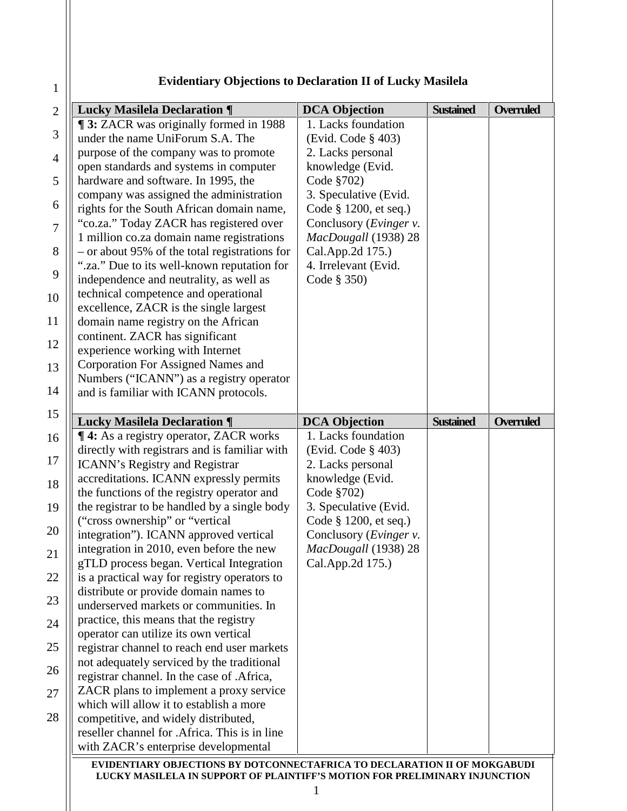| <b>Evidentiary Objections to Declaration II of Lucky Masilela</b> |  |  |
|-------------------------------------------------------------------|--|--|
|                                                                   |  |  |

| <b>DCA Objection</b><br>1. Lacks foundation<br>(Evid. Code § 403)<br>2. Lacks personal<br>knowledge (Evid.<br>Code §702)<br>3. Speculative (Evid.<br>Code § 1200, et seq.)<br>Conclusory (Evinger v.<br>MacDougall (1938) 28<br>Cal.App.2d 175.)<br>4. Irrelevant (Evid.<br>Code § 350) | <b>Sustained</b>                                                                                                                                                                                          | <b>Overruled</b>                                                                                                                                        |
|-----------------------------------------------------------------------------------------------------------------------------------------------------------------------------------------------------------------------------------------------------------------------------------------|-----------------------------------------------------------------------------------------------------------------------------------------------------------------------------------------------------------|---------------------------------------------------------------------------------------------------------------------------------------------------------|
|                                                                                                                                                                                                                                                                                         |                                                                                                                                                                                                           |                                                                                                                                                         |
|                                                                                                                                                                                                                                                                                         |                                                                                                                                                                                                           |                                                                                                                                                         |
|                                                                                                                                                                                                                                                                                         |                                                                                                                                                                                                           |                                                                                                                                                         |
|                                                                                                                                                                                                                                                                                         |                                                                                                                                                                                                           |                                                                                                                                                         |
|                                                                                                                                                                                                                                                                                         |                                                                                                                                                                                                           |                                                                                                                                                         |
|                                                                                                                                                                                                                                                                                         |                                                                                                                                                                                                           |                                                                                                                                                         |
|                                                                                                                                                                                                                                                                                         |                                                                                                                                                                                                           |                                                                                                                                                         |
|                                                                                                                                                                                                                                                                                         |                                                                                                                                                                                                           |                                                                                                                                                         |
|                                                                                                                                                                                                                                                                                         |                                                                                                                                                                                                           |                                                                                                                                                         |
|                                                                                                                                                                                                                                                                                         |                                                                                                                                                                                                           |                                                                                                                                                         |
|                                                                                                                                                                                                                                                                                         |                                                                                                                                                                                                           |                                                                                                                                                         |
|                                                                                                                                                                                                                                                                                         |                                                                                                                                                                                                           |                                                                                                                                                         |
|                                                                                                                                                                                                                                                                                         |                                                                                                                                                                                                           |                                                                                                                                                         |
|                                                                                                                                                                                                                                                                                         |                                                                                                                                                                                                           |                                                                                                                                                         |
|                                                                                                                                                                                                                                                                                         |                                                                                                                                                                                                           |                                                                                                                                                         |
|                                                                                                                                                                                                                                                                                         |                                                                                                                                                                                                           |                                                                                                                                                         |
|                                                                                                                                                                                                                                                                                         |                                                                                                                                                                                                           |                                                                                                                                                         |
|                                                                                                                                                                                                                                                                                         |                                                                                                                                                                                                           |                                                                                                                                                         |
|                                                                                                                                                                                                                                                                                         |                                                                                                                                                                                                           |                                                                                                                                                         |
|                                                                                                                                                                                                                                                                                         |                                                                                                                                                                                                           |                                                                                                                                                         |
| <b>DCA Objection</b>                                                                                                                                                                                                                                                                    | <b>Sustained</b>                                                                                                                                                                                          | <b>Overruled</b>                                                                                                                                        |
| 1. Lacks foundation                                                                                                                                                                                                                                                                     |                                                                                                                                                                                                           |                                                                                                                                                         |
|                                                                                                                                                                                                                                                                                         |                                                                                                                                                                                                           |                                                                                                                                                         |
|                                                                                                                                                                                                                                                                                         |                                                                                                                                                                                                           |                                                                                                                                                         |
|                                                                                                                                                                                                                                                                                         |                                                                                                                                                                                                           |                                                                                                                                                         |
|                                                                                                                                                                                                                                                                                         |                                                                                                                                                                                                           |                                                                                                                                                         |
|                                                                                                                                                                                                                                                                                         |                                                                                                                                                                                                           |                                                                                                                                                         |
|                                                                                                                                                                                                                                                                                         |                                                                                                                                                                                                           |                                                                                                                                                         |
|                                                                                                                                                                                                                                                                                         |                                                                                                                                                                                                           |                                                                                                                                                         |
|                                                                                                                                                                                                                                                                                         |                                                                                                                                                                                                           |                                                                                                                                                         |
|                                                                                                                                                                                                                                                                                         |                                                                                                                                                                                                           |                                                                                                                                                         |
|                                                                                                                                                                                                                                                                                         |                                                                                                                                                                                                           |                                                                                                                                                         |
|                                                                                                                                                                                                                                                                                         |                                                                                                                                                                                                           |                                                                                                                                                         |
|                                                                                                                                                                                                                                                                                         |                                                                                                                                                                                                           |                                                                                                                                                         |
|                                                                                                                                                                                                                                                                                         |                                                                                                                                                                                                           |                                                                                                                                                         |
|                                                                                                                                                                                                                                                                                         |                                                                                                                                                                                                           |                                                                                                                                                         |
|                                                                                                                                                                                                                                                                                         |                                                                                                                                                                                                           |                                                                                                                                                         |
|                                                                                                                                                                                                                                                                                         |                                                                                                                                                                                                           |                                                                                                                                                         |
|                                                                                                                                                                                                                                                                                         |                                                                                                                                                                                                           |                                                                                                                                                         |
|                                                                                                                                                                                                                                                                                         |                                                                                                                                                                                                           |                                                                                                                                                         |
|                                                                                                                                                                                                                                                                                         |                                                                                                                                                                                                           |                                                                                                                                                         |
|                                                                                                                                                                                                                                                                                         |                                                                                                                                                                                                           |                                                                                                                                                         |
|                                                                                                                                                                                                                                                                                         |                                                                                                                                                                                                           |                                                                                                                                                         |
|                                                                                                                                                                                                                                                                                         | (Evid. Code § 403)<br>2. Lacks personal<br>knowledge (Evid.<br>Code §702)<br>3. Speculative (Evid.<br>Code § 1200, et seq.)<br>Conclusory ( <i>Evinger v.</i><br>MacDougall (1938) 28<br>Cal.App.2d 175.) | EVIDENTIARY OBJECTIONS BY DOTCONNECTAFRICA TO DECLARATION II OF MOKGABUDI<br>LUCKY MASILELA IN SUPPORT OF PLAINTIFF'S MOTION FOR PRELIMINARY INJUNCTION |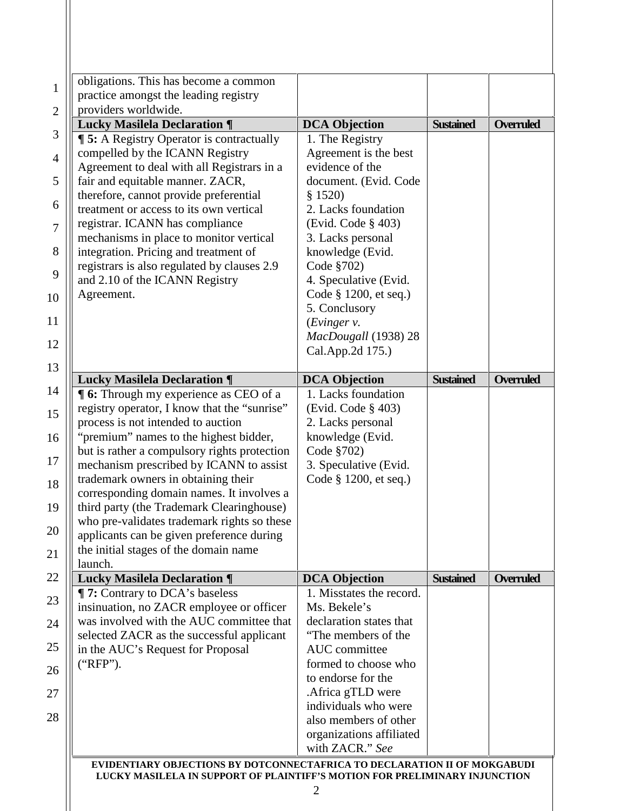| obligations. This has become a common                                                  |                                         |                  |                  |
|----------------------------------------------------------------------------------------|-----------------------------------------|------------------|------------------|
| practice amongst the leading registry                                                  |                                         |                  |                  |
| providers worldwide.                                                                   |                                         | <b>Sustained</b> | <b>Overruled</b> |
| <b>Lucky Masilela Declaration ¶</b><br><b>15:</b> A Registry Operator is contractually | <b>DCA Objection</b><br>1. The Registry |                  |                  |
| compelled by the ICANN Registry                                                        | Agreement is the best                   |                  |                  |
| Agreement to deal with all Registrars in a                                             | evidence of the                         |                  |                  |
| fair and equitable manner. ZACR,                                                       | document. (Evid. Code                   |                  |                  |
| therefore, cannot provide preferential                                                 | \$1520)                                 |                  |                  |
| treatment or access to its own vertical                                                | 2. Lacks foundation                     |                  |                  |
| registrar. ICANN has compliance                                                        | (Evid. Code § 403)                      |                  |                  |
| mechanisms in place to monitor vertical                                                | 3. Lacks personal                       |                  |                  |
| integration. Pricing and treatment of                                                  | knowledge (Evid.                        |                  |                  |
| registrars is also regulated by clauses 2.9                                            | Code §702)                              |                  |                  |
| and 2.10 of the ICANN Registry                                                         | 4. Speculative (Evid.                   |                  |                  |
| Agreement.                                                                             | Code § 1200, et seq.)                   |                  |                  |
|                                                                                        | 5. Conclusory                           |                  |                  |
|                                                                                        | (Evinger v.                             |                  |                  |
|                                                                                        | MacDougall (1938) 28                    |                  |                  |
|                                                                                        | Cal.App.2d 175.)                        |                  |                  |
|                                                                                        |                                         |                  |                  |
| <b>Lucky Masilela Declaration ¶</b>                                                    | <b>DCA Objection</b>                    | <b>Sustained</b> | <b>Overruled</b> |
| <b>16:</b> Through my experience as CEO of a                                           | 1. Lacks foundation                     |                  |                  |
| registry operator, I know that the "sunrise"                                           | (Evid. Code § 403)                      |                  |                  |
| process is not intended to auction                                                     | 2. Lacks personal                       |                  |                  |
| "premium" names to the highest bidder,                                                 | knowledge (Evid.                        |                  |                  |
| but is rather a compulsory rights protection                                           | Code §702)                              |                  |                  |
| mechanism prescribed by ICANN to assist                                                | 3. Speculative (Evid.                   |                  |                  |
| trademark owners in obtaining their                                                    | Code § 1200, et seq.)                   |                  |                  |
| corresponding domain names. It involves a                                              |                                         |                  |                  |
| third party (the Trademark Clearinghouse)                                              |                                         |                  |                  |
| who pre-validates trademark rights so these                                            |                                         |                  |                  |
| applicants can be given preference during                                              |                                         |                  |                  |
| the initial stages of the domain name<br>launch.                                       |                                         |                  |                  |
| <b>Lucky Masilela Declaration ¶</b>                                                    | <b>DCA Objection</b>                    | <b>Sustained</b> | Overruled        |
| <b>T</b> 7: Contrary to DCA's baseless                                                 | 1. Misstates the record.                |                  |                  |
| insinuation, no ZACR employee or officer                                               | Ms. Bekele's                            |                  |                  |
| was involved with the AUC committee that                                               | declaration states that                 |                  |                  |
| selected ZACR as the successful applicant                                              | "The members of the                     |                  |                  |
| in the AUC's Request for Proposal                                                      | AUC committee                           |                  |                  |
| ("RFP").                                                                               | formed to choose who                    |                  |                  |
|                                                                                        | to endorse for the                      |                  |                  |
|                                                                                        | .Africa gTLD were                       |                  |                  |
|                                                                                        | individuals who were                    |                  |                  |
|                                                                                        |                                         |                  |                  |
|                                                                                        | also members of other                   |                  |                  |
|                                                                                        | organizations affiliated                |                  |                  |